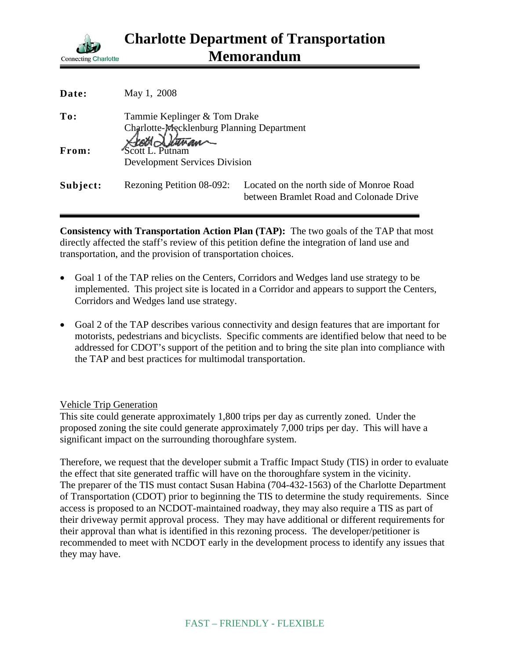

| Date:    | May 1, 2008                                                               |                                                                                     |
|----------|---------------------------------------------------------------------------|-------------------------------------------------------------------------------------|
| To:      | Tammie Keplinger & Tom Drake<br>Charlotte-Mecklenburg Planning Department |                                                                                     |
| From:    | Scott Detwan<br><b>Development Services Division</b>                      |                                                                                     |
| Subject: | Rezoning Petition 08-092:                                                 | Located on the north side of Monroe Road<br>between Bramlet Road and Colonade Drive |

**Consistency with Transportation Action Plan (TAP):** The two goals of the TAP that most directly affected the staff's review of this petition define the integration of land use and transportation, and the provision of transportation choices.

- Goal 1 of the TAP relies on the Centers, Corridors and Wedges land use strategy to be implemented. This project site is located in a Corridor and appears to support the Centers, Corridors and Wedges land use strategy.
- Goal 2 of the TAP describes various connectivity and design features that are important for motorists, pedestrians and bicyclists. Specific comments are identified below that need to be addressed for CDOT's support of the petition and to bring the site plan into compliance with the TAP and best practices for multimodal transportation.

## Vehicle Trip Generation

This site could generate approximately 1,800 trips per day as currently zoned. Under the proposed zoning the site could generate approximately 7,000 trips per day. This will have a significant impact on the surrounding thoroughfare system.

Therefore, we request that the developer submit a Traffic Impact Study (TIS) in order to evaluate the effect that site generated traffic will have on the thoroughfare system in the vicinity. The preparer of the TIS must contact Susan Habina (704-432-1563) of the Charlotte Department of Transportation (CDOT) prior to beginning the TIS to determine the study requirements. Since access is proposed to an NCDOT-maintained roadway, they may also require a TIS as part of their driveway permit approval process. They may have additional or different requirements for their approval than what is identified in this rezoning process. The developer/petitioner is recommended to meet with NCDOT early in the development process to identify any issues that they may have.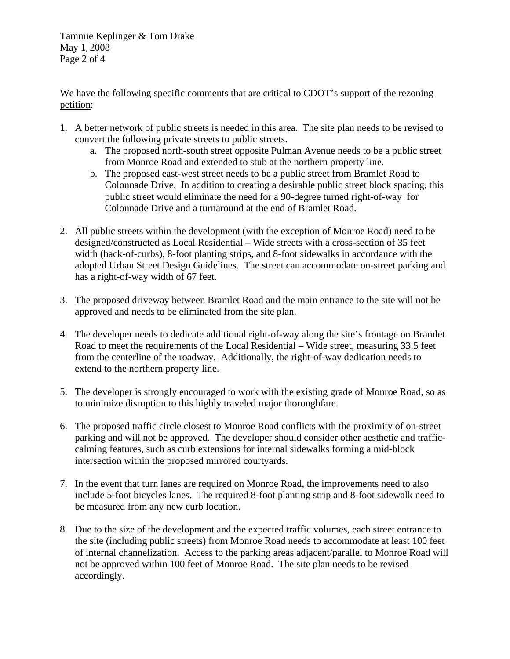Tammie Keplinger & Tom Drake May 1, 2008 Page 2 of 4

We have the following specific comments that are critical to CDOT's support of the rezoning petition:

- 1. A better network of public streets is needed in this area. The site plan needs to be revised to convert the following private streets to public streets.
	- a. The proposed north-south street opposite Pulman Avenue needs to be a public street from Monroe Road and extended to stub at the northern property line.
	- b. The proposed east-west street needs to be a public street from Bramlet Road to Colonnade Drive. In addition to creating a desirable public street block spacing, this public street would eliminate the need for a 90-degree turned right-of-way for Colonnade Drive and a turnaround at the end of Bramlet Road.
- 2. All public streets within the development (with the exception of Monroe Road) need to be designed/constructed as Local Residential – Wide streets with a cross-section of 35 feet width (back-of-curbs), 8-foot planting strips, and 8-foot sidewalks in accordance with the adopted Urban Street Design Guidelines. The street can accommodate on-street parking and has a right-of-way width of 67 feet.
- 3. The proposed driveway between Bramlet Road and the main entrance to the site will not be approved and needs to be eliminated from the site plan.
- 4. The developer needs to dedicate additional right-of-way along the site's frontage on Bramlet Road to meet the requirements of the Local Residential – Wide street, measuring 33.5 feet from the centerline of the roadway. Additionally, the right-of-way dedication needs to extend to the northern property line.
- 5. The developer is strongly encouraged to work with the existing grade of Monroe Road, so as to minimize disruption to this highly traveled major thoroughfare.
- 6. The proposed traffic circle closest to Monroe Road conflicts with the proximity of on-street parking and will not be approved. The developer should consider other aesthetic and trafficcalming features, such as curb extensions for internal sidewalks forming a mid-block intersection within the proposed mirrored courtyards.
- 7. In the event that turn lanes are required on Monroe Road, the improvements need to also include 5-foot bicycles lanes. The required 8-foot planting strip and 8-foot sidewalk need to be measured from any new curb location.
- 8. Due to the size of the development and the expected traffic volumes, each street entrance to the site (including public streets) from Monroe Road needs to accommodate at least 100 feet of internal channelization. Access to the parking areas adjacent/parallel to Monroe Road will not be approved within 100 feet of Monroe Road. The site plan needs to be revised accordingly.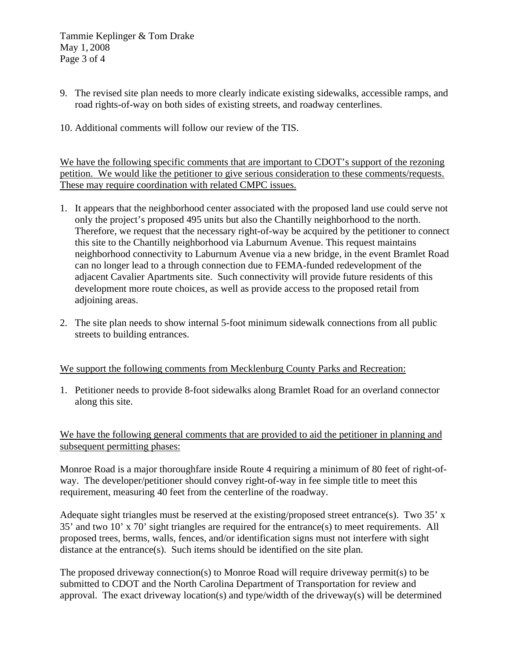Tammie Keplinger & Tom Drake May 1, 2008 Page 3 of 4

- 9. The revised site plan needs to more clearly indicate existing sidewalks, accessible ramps, and road rights-of-way on both sides of existing streets, and roadway centerlines.
- 10. Additional comments will follow our review of the TIS.

We have the following specific comments that are important to CDOT's support of the rezoning petition. We would like the petitioner to give serious consideration to these comments/requests. These may require coordination with related CMPC issues.

- 1. It appears that the neighborhood center associated with the proposed land use could serve not only the project's proposed 495 units but also the Chantilly neighborhood to the north. Therefore, we request that the necessary right-of-way be acquired by the petitioner to connect this site to the Chantilly neighborhood via Laburnum Avenue. This request maintains neighborhood connectivity to Laburnum Avenue via a new bridge, in the event Bramlet Road can no longer lead to a through connection due to FEMA-funded redevelopment of the adjacent Cavalier Apartments site. Such connectivity will provide future residents of this development more route choices, as well as provide access to the proposed retail from adjoining areas.
- 2. The site plan needs to show internal 5-foot minimum sidewalk connections from all public streets to building entrances.

## We support the following comments from Mecklenburg County Parks and Recreation:

1. Petitioner needs to provide 8-foot sidewalks along Bramlet Road for an overland connector along this site.

We have the following general comments that are provided to aid the petitioner in planning and subsequent permitting phases:

Monroe Road is a major thoroughfare inside Route 4 requiring a minimum of 80 feet of right-ofway. The developer/petitioner should convey right-of-way in fee simple title to meet this requirement, measuring 40 feet from the centerline of the roadway.

Adequate sight triangles must be reserved at the existing/proposed street entrance(s). Two 35' x 35' and two 10' x 70' sight triangles are required for the entrance(s) to meet requirements. All proposed trees, berms, walls, fences, and/or identification signs must not interfere with sight distance at the entrance(s). Such items should be identified on the site plan.

The proposed driveway connection(s) to Monroe Road will require driveway permit(s) to be submitted to CDOT and the North Carolina Department of Transportation for review and approval. The exact driveway location(s) and type/width of the driveway(s) will be determined